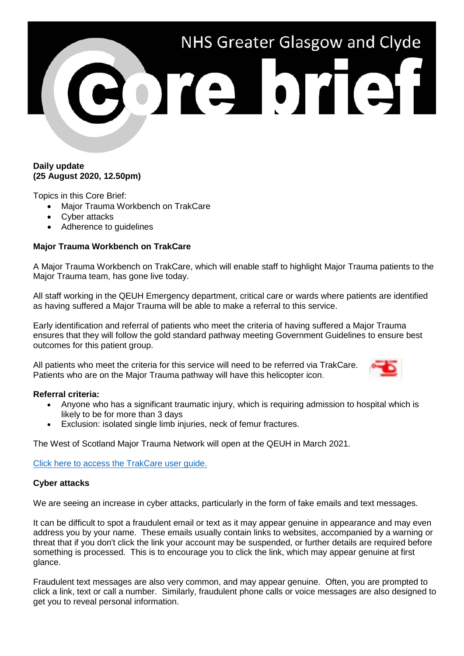# NHS Greater Glasgow and Clyde ore brief

# **Daily update (25 August 2020, 12.50pm)**

Topics in this Core Brief:

- Major Trauma Workbench on TrakCare
- Cyber attacks
- Adherence to guidelines

# **Major Trauma Workbench on TrakCare**

A Major Trauma Workbench on TrakCare, which will enable staff to highlight Major Trauma patients to the Major Trauma team, has gone live today.

All staff working in the QEUH Emergency department, critical care or wards where patients are identified as having suffered a Major Trauma will be able to make a referral to this service.

Early identification and referral of patients who meet the criteria of having suffered a Major Trauma ensures that they will follow the gold standard pathway meeting Government Guidelines to ensure best outcomes for this patient group.

All patients who meet the criteria for this service will need to be referred via TrakCare. Patients who are on the Major Trauma pathway will have this helicopter icon.



# **Referral criteria:**

- Anyone who has a significant traumatic injury, which is requiring admission to hospital which is likely to be for more than 3 days
- Exclusion: isolated single limb injuries, neck of femur fractures.

The West of Scotland Major Trauma Network will open at the QEUH in March 2021.

[Click here to access the TrakCare user guide.](http://www.staffnet.ggc.scot.nhs.uk/Corporate%20Services/Communications/Briefs/Documents/Placing%20a%20patient%20on%20the%20Major%20Trauma%20Workbench_User%20Guide_180820.pdf)

### **Cyber attacks**

We are seeing an increase in cyber attacks, particularly in the form of fake emails and text messages.

It can be difficult to spot a fraudulent email or text as it may appear genuine in appearance and may even address you by your name. These emails usually contain links to websites, accompanied by a warning or threat that if you don't click the link your account may be suspended, or further details are required before something is processed. This is to encourage you to click the link, which may appear genuine at first glance.

Fraudulent text messages are also very common, and may appear genuine. Often, you are prompted to click a link, text or call a number. Similarly, fraudulent phone calls or voice messages are also designed to get you to reveal personal information.